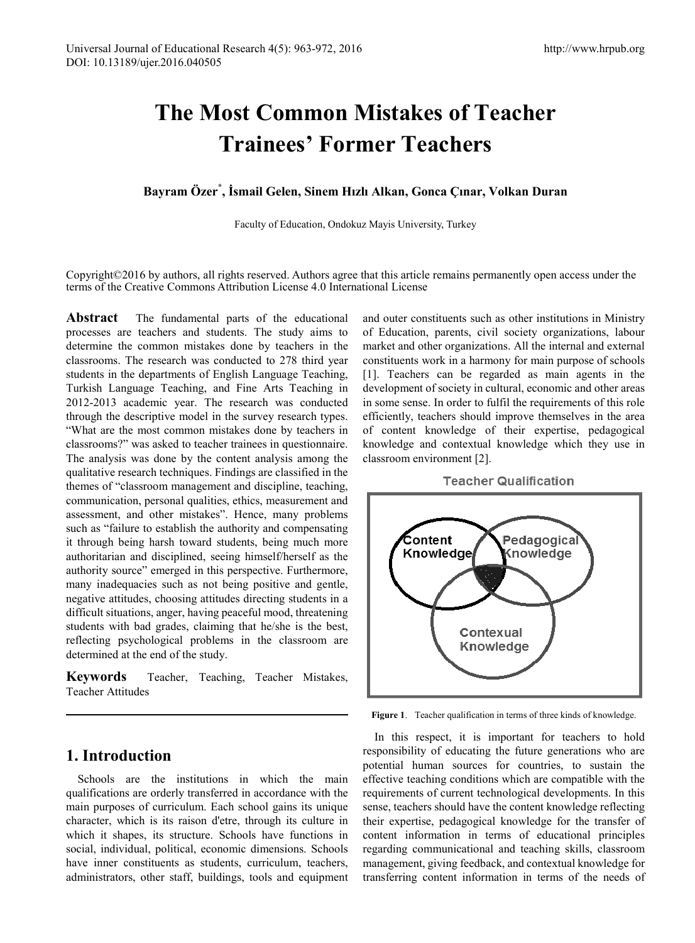# **The Most Common Mistakes of Teacher Trainees' Former Teachers**

## **Bayram Özer\* , İsmail Gelen, Sinem Hızlı Alkan, Gonca Çınar, Volkan Duran**

Faculty of Education, Ondokuz Mayis University, Turkey

Copyright©2016 by authors, all rights reserved. Authors agree that this article remains permanently open access under the terms of the Creative Commons Attribution License 4.0 International License

**Abstract** The fundamental parts of the educational processes are teachers and students. The study aims to determine the common mistakes done by teachers in the classrooms. The research was conducted to 278 third year students in the departments of English Language Teaching, Turkish Language Teaching, and Fine Arts Teaching in 2012-2013 academic year. The research was conducted through the descriptive model in the survey research types. "What are the most common mistakes done by teachers in classrooms?" was asked to teacher trainees in questionnaire. The analysis was done by the content analysis among the qualitative research techniques. Findings are classified in the themes of "classroom management and discipline, teaching, communication, personal qualities, ethics, measurement and assessment, and other mistakes". Hence, many problems such as "failure to establish the authority and compensating it through being harsh toward students, being much more authoritarian and disciplined, seeing himself/herself as the authority source" emerged in this perspective. Furthermore, many inadequacies such as not being positive and gentle, negative attitudes, choosing attitudes directing students in a difficult situations, anger, having peaceful mood, threatening students with bad grades, claiming that he/she is the best, reflecting psychological problems in the classroom are determined at the end of the study.

**Keywords** Teacher, Teaching, Teacher Mistakes, Teacher Attitudes

# **1. Introduction**

Schools are the institutions in which the main qualifications are orderly transferred in accordance with the main purposes of curriculum. Each school gains its unique character, which is its raison d'etre, through its culture in which it shapes, its structure. Schools have functions in social, individual, political, economic dimensions. Schools have inner constituents as students, curriculum, teachers, administrators, other staff, buildings, tools and equipment

and outer constituents such as other institutions in Ministry of Education, parents, civil society organizations, labour market and other organizations. All the internal and external constituents work in a harmony for main purpose of schools [1]. Teachers can be regarded as main agents in the development of society in cultural, economic and other areas in some sense. In order to fulfil the requirements of this role efficiently, teachers should improve themselves in the area of content knowledge of their expertise, pedagogical knowledge and contextual knowledge which they use in classroom environment [2].





**Figure 1**. Teacher qualification in terms of three kinds of knowledge.

In this respect, it is important for teachers to hold responsibility of educating the future generations who are potential human sources for countries, to sustain the effective teaching conditions which are compatible with the requirements of current technological developments. In this sense, teachers should have the content knowledge reflecting their expertise, pedagogical knowledge for the transfer of content information in terms of educational principles regarding communicational and teaching skills, classroom management, giving feedback, and contextual knowledge for transferring content information in terms of the needs of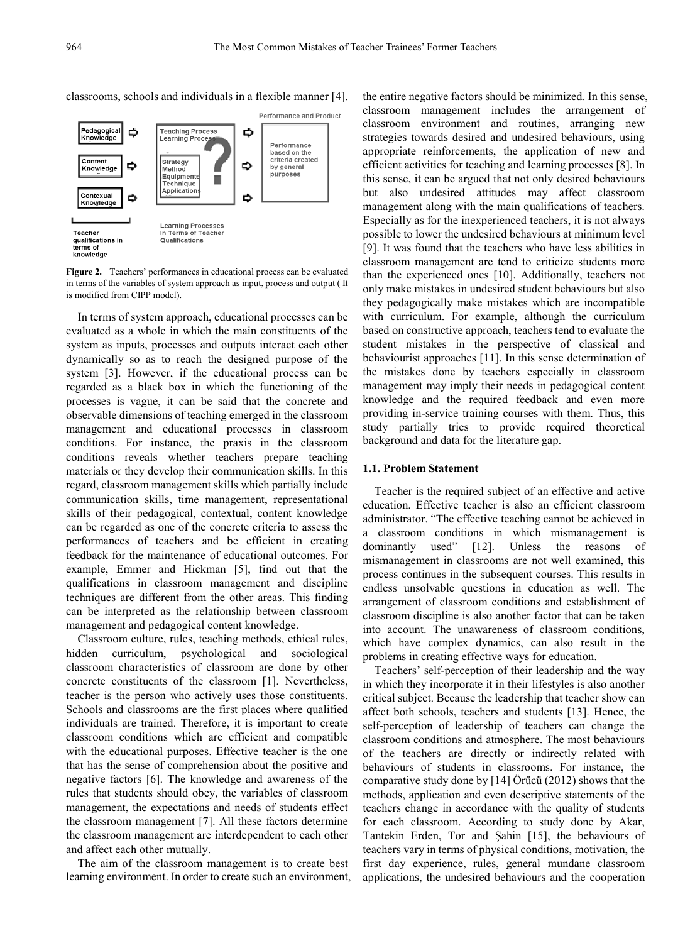classrooms, schools and individuals in a flexible manner [4].



**Figure 2.** Teachers' performances in educational process can be evaluated in terms of the variables of system approach as input, process and output ( It is modified from CIPP model).

In terms of system approach, educational processes can be evaluated as a whole in which the main constituents of the system as inputs, processes and outputs interact each other dynamically so as to reach the designed purpose of the system [3]. However, if the educational process can be regarded as a black box in which the functioning of the processes is vague, it can be said that the concrete and observable dimensions of teaching emerged in the classroom management and educational processes in classroom conditions. For instance, the praxis in the classroom conditions reveals whether teachers prepare teaching materials or they develop their communication skills. In this regard, classroom management skills which partially include communication skills, time management, representational skills of their pedagogical, contextual, content knowledge can be regarded as one of the concrete criteria to assess the performances of teachers and be efficient in creating feedback for the maintenance of educational outcomes. For example, Emmer and Hickman [5], find out that the qualifications in classroom management and discipline techniques are different from the other areas. This finding can be interpreted as the relationship between classroom management and pedagogical content knowledge.

Classroom culture, rules, teaching methods, ethical rules, hidden curriculum, psychological and sociological classroom characteristics of classroom are done by other concrete constituents of the classroom [1]. Nevertheless, teacher is the person who actively uses those constituents. Schools and classrooms are the first places where qualified individuals are trained. Therefore, it is important to create classroom conditions which are efficient and compatible with the educational purposes. Effective teacher is the one that has the sense of comprehension about the positive and negative factors [6]. The knowledge and awareness of the rules that students should obey, the variables of classroom management, the expectations and needs of students effect the classroom management [7]. All these factors determine the classroom management are interdependent to each other and affect each other mutually.

The aim of the classroom management is to create best learning environment. In order to create such an environment,

the entire negative factors should be minimized. In this sense, classroom management includes the arrangement of classroom environment and routines, arranging new strategies towards desired and undesired behaviours, using appropriate reinforcements, the application of new and efficient activities for teaching and learning processes [8]. In this sense, it can be argued that not only desired behaviours but also undesired attitudes may affect classroom management along with the main qualifications of teachers. Especially as for the inexperienced teachers, it is not always possible to lower the undesired behaviours at minimum level [9]. It was found that the teachers who have less abilities in classroom management are tend to criticize students more than the experienced ones [10]. Additionally, teachers not only make mistakes in undesired student behaviours but also they pedagogically make mistakes which are incompatible with curriculum. For example, although the curriculum based on constructive approach, teachers tend to evaluate the student mistakes in the perspective of classical and behaviourist approaches [11]. In this sense determination of the mistakes done by teachers especially in classroom management may imply their needs in pedagogical content knowledge and the required feedback and even more providing in-service training courses with them. Thus, this study partially tries to provide required theoretical background and data for the literature gap.

#### **1.1. Problem Statement**

Teacher is the required subject of an effective and active education. Effective teacher is also an efficient classroom administrator. "The effective teaching cannot be achieved in a classroom conditions in which mismanagement is dominantly used" [12]. Unless the reasons of mismanagement in classrooms are not well examined, this process continues in the subsequent courses. This results in endless unsolvable questions in education as well. The arrangement of classroom conditions and establishment of classroom discipline is also another factor that can be taken into account. The unawareness of classroom conditions, which have complex dynamics, can also result in the problems in creating effective ways for education.

Teachers' self-perception of their leadership and the way in which they incorporate it in their lifestyles is also another critical subject. Because the leadership that teacher show can affect both schools, teachers and students [13]. Hence, the self-perception of leadership of teachers can change the classroom conditions and atmosphere. The most behaviours of the teachers are directly or indirectly related with behaviours of students in classrooms. For instance, the comparative study done by [14] Örücü (2012) shows that the methods, application and even descriptive statements of the teachers change in accordance with the quality of students for each classroom. According to study done by Akar, Tantekin Erden, Tor and Şahin [15], the behaviours of teachers vary in terms of physical conditions, motivation, the first day experience, rules, general mundane classroom applications, the undesired behaviours and the cooperation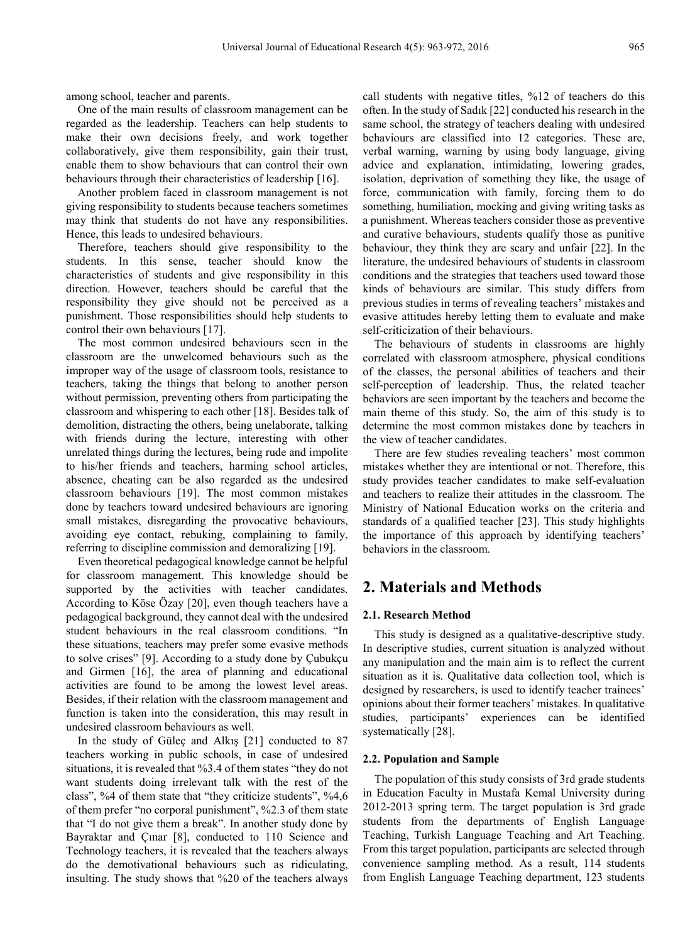among school, teacher and parents.

One of the main results of classroom management can be regarded as the leadership. Teachers can help students to make their own decisions freely, and work together collaboratively, give them responsibility, gain their trust, enable them to show behaviours that can control their own behaviours through their characteristics of leadership [16].

Another problem faced in classroom management is not giving responsibility to students because teachers sometimes may think that students do not have any responsibilities. Hence, this leads to undesired behaviours.

Therefore, teachers should give responsibility to the students. In this sense, teacher should know the characteristics of students and give responsibility in this direction. However, teachers should be careful that the responsibility they give should not be perceived as a punishment. Those responsibilities should help students to control their own behaviours [17].

The most common undesired behaviours seen in the classroom are the unwelcomed behaviours such as the improper way of the usage of classroom tools, resistance to teachers, taking the things that belong to another person without permission, preventing others from participating the classroom and whispering to each other [18]. Besides talk of demolition, distracting the others, being unelaborate, talking with friends during the lecture, interesting with other unrelated things during the lectures, being rude and impolite to his/her friends and teachers, harming school articles, absence, cheating can be also regarded as the undesired classroom behaviours [19]. The most common mistakes done by teachers toward undesired behaviours are ignoring small mistakes, disregarding the provocative behaviours, avoiding eye contact, rebuking, complaining to family, referring to discipline commission and demoralizing [19].

Even theoretical pedagogical knowledge cannot be helpful for classroom management. This knowledge should be supported by the activities with teacher candidates. According to Köse Özay [20], even though teachers have a pedagogical background, they cannot deal with the undesired student behaviours in the real classroom conditions. "In these situations, teachers may prefer some evasive methods to solve crises" [9]. According to a study done by Çubukçu and Girmen [16], the area of planning and educational activities are found to be among the lowest level areas. Besides, if their relation with the classroom management and function is taken into the consideration, this may result in undesired classroom behaviours as well.

In the study of Güleç and Alkış [21] conducted to 87 teachers working in public schools, in case of undesired situations, it is revealed that %3.4 of them states "they do not want students doing irrelevant talk with the rest of the class", %4 of them state that "they criticize students", %4,6 of them prefer "no corporal punishment", %2.3 of them state that "I do not give them a break". In another study done by Bayraktar and Çınar [8], conducted to 110 Science and Technology teachers, it is revealed that the teachers always do the demotivational behaviours such as ridiculating, insulting. The study shows that %20 of the teachers always

call students with negative titles, %12 of teachers do this often. In the study of Sadık [22] conducted his research in the same school, the strategy of teachers dealing with undesired behaviours are classified into 12 categories. These are, verbal warning, warning by using body language, giving advice and explanation, intimidating, lowering grades, isolation, deprivation of something they like, the usage of force, communication with family, forcing them to do something, humiliation, mocking and giving writing tasks as a punishment. Whereas teachers consider those as preventive and curative behaviours, students qualify those as punitive behaviour, they think they are scary and unfair [22]. In the literature, the undesired behaviours of students in classroom conditions and the strategies that teachers used toward those kinds of behaviours are similar. This study differs from previous studies in terms of revealing teachers' mistakes and evasive attitudes hereby letting them to evaluate and make self-criticization of their behaviours.

The behaviours of students in classrooms are highly correlated with classroom atmosphere, physical conditions of the classes, the personal abilities of teachers and their self-perception of leadership. Thus, the related teacher behaviors are seen important by the teachers and become the main theme of this study. So, the aim of this study is to determine the most common mistakes done by teachers in the view of teacher candidates.

There are few studies revealing teachers' most common mistakes whether they are intentional or not. Therefore, this study provides teacher candidates to make self-evaluation and teachers to realize their attitudes in the classroom. The Ministry of National Education works on the criteria and standards of a qualified teacher [23]. This study highlights the importance of this approach by identifying teachers' behaviors in the classroom.

# **2. Materials and Methods**

## **2.1. Research Method**

This study is designed as a qualitative-descriptive study. In descriptive studies, current situation is analyzed without any manipulation and the main aim is to reflect the current situation as it is. Qualitative data collection tool, which is designed by researchers, is used to identify teacher trainees' opinions about their former teachers' mistakes. In qualitative studies, participants' experiences can be identified systematically [28].

#### **2.2. Population and Sample**

The population of this study consists of 3rd grade students in Education Faculty in Mustafa Kemal University during 2012-2013 spring term. The target population is 3rd grade students from the departments of English Language Teaching, Turkish Language Teaching and Art Teaching. From this target population, participants are selected through convenience sampling method. As a result, 114 students from English Language Teaching department, 123 students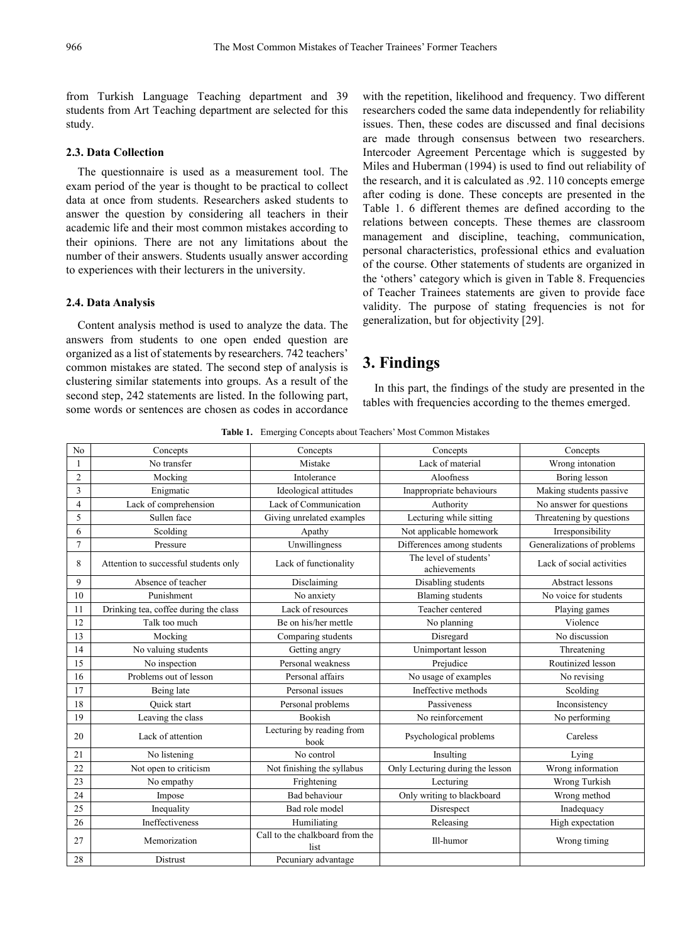from Turkish Language Teaching department and 39 students from Art Teaching department are selected for this study.

## **2.3. Data Collection**

The questionnaire is used as a measurement tool. The exam period of the year is thought to be practical to collect data at once from students. Researchers asked students to answer the question by considering all teachers in their academic life and their most common mistakes according to their opinions. There are not any limitations about the number of their answers. Students usually answer according to experiences with their lecturers in the university.

#### **2.4. Data Analysis**

Content analysis method is used to analyze the data. The answers from students to one open ended question are organized as a list of statements by researchers. 742 teachers' common mistakes are stated. The second step of analysis is clustering similar statements into groups. As a result of the second step, 242 statements are listed. In the following part, some words or sentences are chosen as codes in accordance

with the repetition, likelihood and frequency. Two different researchers coded the same data independently for reliability issues. Then, these codes are discussed and final decisions are made through consensus between two researchers. Intercoder Agreement Percentage which is suggested by Miles and Huberman (1994) is used to find out reliability of the research, and it is calculated as .92. 110 concepts emerge after coding is done. These concepts are presented in the Table 1. 6 different themes are defined according to the relations between concepts. These themes are classroom management and discipline, teaching, communication, personal characteristics, professional ethics and evaluation of the course. Other statements of students are organized in the 'others' category which is given in Table 8. Frequencies of Teacher Trainees statements are given to provide face validity. The purpose of stating frequencies is not for generalization, but for objectivity [29].

## **3. Findings**

In this part, the findings of the study are presented in the tables with frequencies according to the themes emerged.

**Table 1.** Emerging Concepts about Teachers' Most Common Mistakes

| N <sub>0</sub> | Concepts                              | Concepts                                | Concepts                               | Concepts                    |
|----------------|---------------------------------------|-----------------------------------------|----------------------------------------|-----------------------------|
| 1              | No transfer                           | Mistake                                 | Lack of material                       | Wrong intonation            |
| $\overline{c}$ | Mocking                               | Intolerance                             | Aloofness                              | Boring lesson               |
| 3              | Enigmatic                             | Ideological attitudes                   | Inappropriate behaviours               | Making students passive     |
| 4              | Lack of comprehension                 | Lack of Communication                   | Authority                              | No answer for questions     |
| 5              | Sullen face                           | Giving unrelated examples               | Lecturing while sitting                | Threatening by questions    |
| 6              | Scolding                              | Apathy                                  | Not applicable homework                | Irresponsibility            |
| $\overline{7}$ | Pressure                              | Unwillingness                           | Differences among students             | Generalizations of problems |
| 8              | Attention to successful students only | Lack of functionality                   | The level of students'<br>achievements | Lack of social activities   |
| 9              | Absence of teacher                    | Disclaiming                             | Disabling students                     | <b>Abstract lessons</b>     |
| 10             | Punishment                            | No anxiety                              | <b>Blaming</b> students                | No voice for students       |
| 11             | Drinking tea, coffee during the class | Lack of resources                       | Teacher centered                       | Playing games               |
| 12             | Talk too much                         | Be on his/her mettle                    | No planning                            | Violence                    |
| 13             | Mocking                               | Comparing students                      | Disregard                              | No discussion               |
| 14             | No valuing students                   | Getting angry                           | Unimportant lesson                     | Threatening                 |
| 15             | No inspection                         | Personal weakness                       | Prejudice                              | Routinized lesson           |
| 16             | Problems out of lesson                | Personal affairs                        | No usage of examples                   | No revising                 |
| 17             | Being late                            | Personal issues                         | Ineffective methods                    | Scolding                    |
| 18             | <b>Ouick start</b>                    | Personal problems                       | Passiveness                            | Inconsistency               |
| 19             | Leaving the class                     | Bookish                                 | No reinforcement                       | No performing               |
| 20             | Lack of attention                     | Lecturing by reading from<br>book       | Psychological problems                 | Careless                    |
| 21             | No listening                          | No control                              | Insulting                              | Lying                       |
| 22             | Not open to criticism                 | Not finishing the syllabus              | Only Lecturing during the lesson       | Wrong information           |
| 23             | No empathy                            | Frightening                             | Lecturing                              | Wrong Turkish               |
| 24             | Impose                                | <b>Bad behaviour</b>                    | Only writing to blackboard             | Wrong method                |
| 25             | Inequality                            | Bad role model                          | Disrespect                             | Inadequacy                  |
| 26             | Ineffectiveness                       | Humiliating                             | Releasing                              | High expectation            |
| 27             | Memorization                          | Call to the chalkboard from the<br>list | Ill-humor                              | Wrong timing                |
| 28             | Distrust                              | Pecuniary advantage                     |                                        |                             |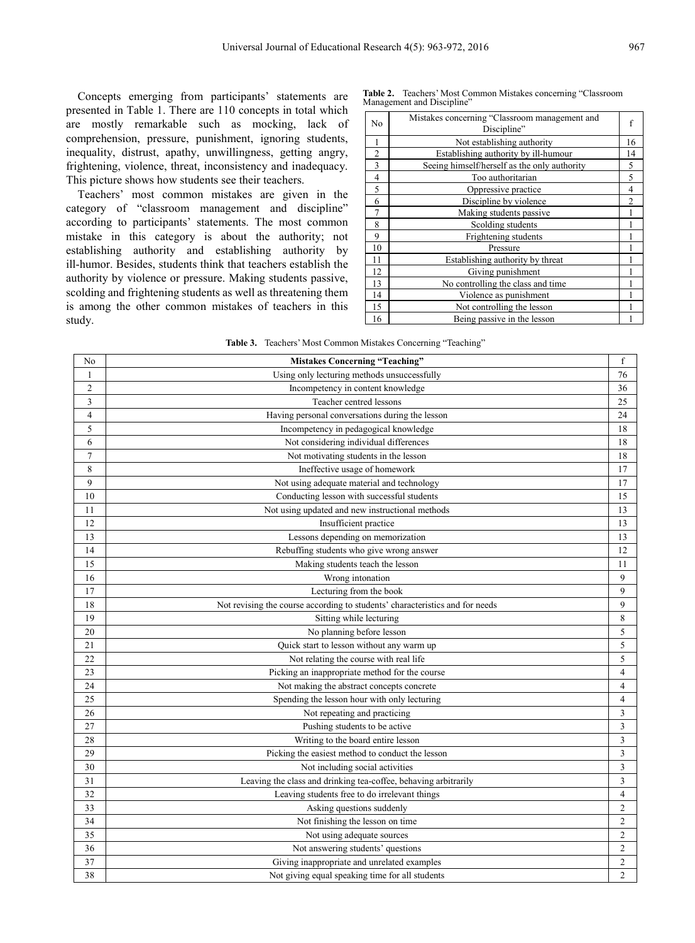Concepts emerging from participants' statements are presented in Table 1. There are 110 concepts in total which are mostly remarkable such as mocking, lack of comprehension, pressure, punishment, ignoring students, inequality, distrust, apathy, unwillingness, getting angry, frightening, violence, threat, inconsistency and inadequacy. This picture shows how students see their teachers.

Teachers' most common mistakes are given in the category of "classroom management and discipline" according to participants' statements. The most common mistake in this category is about the authority; not establishing authority and establishing authority by ill-humor. Besides, students think that teachers establish the authority by violence or pressure. Making students passive, scolding and frightening students as well as threatening them is among the other common mistakes of teachers in this study.

**Table 2.** Teachers' Most Common Mistakes concerning "Classroom Management and Discipline"

| No                       | Mistakes concerning "Classroom management and<br>Discipline" | f              |
|--------------------------|--------------------------------------------------------------|----------------|
| $\mathbf{1}$             | Not establishing authority                                   | 16             |
| $\boldsymbol{2}$         | Establishing authority by ill-humour                         | 14             |
| 3                        | Seeing himself/herself as the only authority                 | 5              |
| $\overline{\mathcal{L}}$ | Too authoritarian                                            | 5              |
| 5                        | Oppressive practice                                          | 4              |
| 6                        | Discipline by violence                                       | $\overline{2}$ |
| 7                        | Making students passive                                      |                |
| 8                        | Scolding students                                            |                |
| 9                        | Frightening students                                         |                |
| 10                       | Pressure                                                     |                |
| 11                       | Establishing authority by threat                             |                |
| 12                       | Giving punishment                                            |                |
| 13                       | No controlling the class and time                            |                |
| 14                       | Violence as punishment                                       |                |
| 15                       | Not controlling the lesson                                   |                |
| 16                       | Being passive in the lesson                                  |                |
|                          |                                                              |                |

**Table 3.** Teachers' Most Common Mistakes Concerning "Teaching"

| No             | <b>Mistakes Concerning "Teaching"</b>                                        | f              |
|----------------|------------------------------------------------------------------------------|----------------|
| $\mathbf{1}$   | Using only lecturing methods unsuccessfully                                  | 76             |
| $\overline{2}$ | Incompetency in content knowledge                                            | 36             |
| $\overline{3}$ | Teacher centred lessons                                                      | 25             |
| $\overline{4}$ | Having personal conversations during the lesson                              | 24             |
| 5              | Incompetency in pedagogical knowledge                                        | 18             |
| 6              | Not considering individual differences                                       | 18             |
| $\overline{7}$ | Not motivating students in the lesson                                        | 18             |
| $\,$ 8 $\,$    | Ineffective usage of homework                                                | 17             |
| 9              | Not using adequate material and technology                                   | 17             |
| 10             | Conducting lesson with successful students                                   | 15             |
| 11             | Not using updated and new instructional methods                              | 13             |
| 12             | Insufficient practice                                                        | 13             |
| 13             | Lessons depending on memorization                                            | 13             |
| 14             | Rebuffing students who give wrong answer                                     | 12             |
| 15             | Making students teach the lesson                                             | 11             |
| 16             | Wrong intonation                                                             | 9              |
| 17             | Lecturing from the book                                                      | 9              |
| 18             | Not revising the course according to students' characteristics and for needs | 9              |
| 19             | Sitting while lecturing                                                      | 8              |
| 20             | No planning before lesson                                                    | 5              |
| 21             | Quick start to lesson without any warm up                                    | 5              |
| 22             | Not relating the course with real life                                       | 5              |
| 23             | Picking an inappropriate method for the course                               | $\overline{4}$ |
| 24             | Not making the abstract concepts concrete                                    | $\overline{4}$ |
| 25             | Spending the lesson hour with only lecturing                                 | $\overline{4}$ |
| 26             | Not repeating and practicing                                                 | 3              |
| 27             | Pushing students to be active                                                | 3              |
| 28             | Writing to the board entire lesson                                           | 3              |
| 29             | Picking the easiest method to conduct the lesson                             | 3              |
| 30             | Not including social activities                                              | 3              |
| 31             | Leaving the class and drinking tea-coffee, behaving arbitrarily              | 3              |
| 32             | Leaving students free to do irrelevant things                                | $\overline{4}$ |
| 33             | Asking questions suddenly                                                    | $\overline{2}$ |
| 34             | Not finishing the lesson on time                                             | $\overline{2}$ |
| 35             | Not using adequate sources                                                   | $\overline{2}$ |
| 36             | Not answering students' questions                                            | $\overline{2}$ |
| 37             | Giving inappropriate and unrelated examples                                  | $\overline{c}$ |
| 38             | Not giving equal speaking time for all students                              | $\overline{2}$ |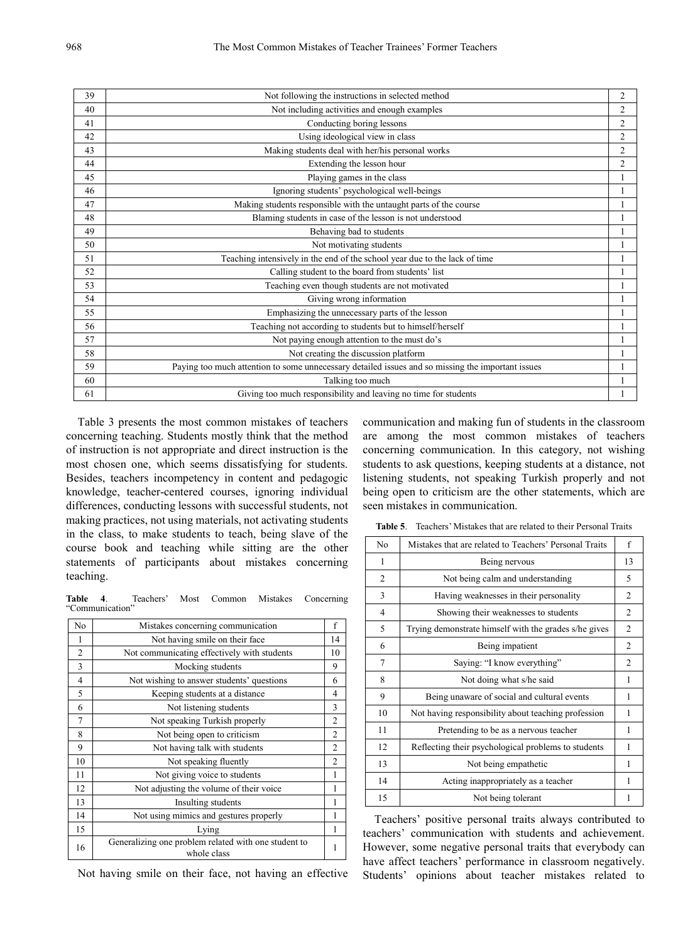| 39 | Not following the instructions in selected method                                                 | 2              |
|----|---------------------------------------------------------------------------------------------------|----------------|
| 40 | Not including activities and enough examples                                                      | $\overline{2}$ |
| 41 | Conducting boring lessons                                                                         | $\overline{2}$ |
| 42 | Using ideological view in class                                                                   | $\overline{2}$ |
| 43 | Making students deal with her/his personal works                                                  | $\overline{c}$ |
| 44 | Extending the lesson hour                                                                         | $\overline{2}$ |
| 45 | Playing games in the class                                                                        |                |
| 46 | Ignoring students' psychological well-beings                                                      |                |
| 47 | Making students responsible with the untaught parts of the course                                 |                |
| 48 | Blaming students in case of the lesson is not understood                                          |                |
| 49 | Behaving bad to students                                                                          |                |
| 50 | Not motivating students                                                                           |                |
| 51 | Teaching intensively in the end of the school year due to the lack of time                        |                |
| 52 | Calling student to the board from students' list                                                  |                |
| 53 | Teaching even though students are not motivated                                                   |                |
| 54 | Giving wrong information                                                                          |                |
| 55 | Emphasizing the unnecessary parts of the lesson                                                   |                |
| 56 | Teaching not according to students but to himself/herself                                         |                |
| 57 | Not paying enough attention to the must do's                                                      |                |
| 58 | Not creating the discussion platform                                                              |                |
| 59 | Paying too much attention to some unnecessary detailed issues and so missing the important issues |                |
| 60 | Talking too much                                                                                  |                |
| 61 | Giving too much responsibility and leaving no time for students                                   |                |

Table 3 presents the most common mistakes of teachers concerning teaching. Students mostly think that the method of instruction is not appropriate and direct instruction is the most chosen one, which seems dissatisfying for students. Besides, teachers incompetency in content and pedagogic knowledge, teacher-centered courses, ignoring individual differences, conducting lessons with successful students, not making practices, not using materials, not activating students in the class, to make students to teach, being slave of the course book and teaching while sitting are the other statements of participants about mistakes concerning teaching.

**Table 4**. Teachers' Most Common Mistakes Concerning "Communication"

| No | Mistakes concerning communication                                   | f              |
|----|---------------------------------------------------------------------|----------------|
| 1  | Not having smile on their face                                      | 14             |
| 2  | Not communicating effectively with students                         | 10             |
| 3  | Mocking students                                                    | 9              |
| 4  | Not wishing to answer students' questions                           | 6              |
| 5  | Keeping students at a distance                                      | 4              |
| 6  | Not listening students                                              | 3              |
| 7  | Not speaking Turkish properly                                       | $\overline{2}$ |
| 8  | Not being open to criticism                                         | $\overline{2}$ |
| 9  | Not having talk with students                                       | $\overline{2}$ |
| 10 | Not speaking fluently                                               | $\overline{2}$ |
| 11 | Not giving voice to students                                        | $\mathbf{1}$   |
| 12 | Not adjusting the volume of their voice                             | 1              |
| 13 | Insulting students                                                  | 1              |
| 14 | Not using mimics and gestures properly                              | 1              |
| 15 | Lying                                                               | 1              |
| 16 | Generalizing one problem related with one student to<br>whole class | 1              |

Not having smile on their face, not having an effective

communication and making fun of students in the classroom are among the most common mistakes of teachers concerning communication. In this category, not wishing students to ask questions, keeping students at a distance, not listening students, not speaking Turkish properly and not being open to criticism are the other statements, which are seen mistakes in communication.

**Table 5**. Teachers' Mistakes that are related to their Personal Traits

| No             | Mistakes that are related to Teachers' Personal Traits | f              |
|----------------|--------------------------------------------------------|----------------|
| 1              | Being nervous                                          | 13             |
| 2              | Not being calm and understanding                       | 5              |
| 3              | Having weaknesses in their personality                 | 2              |
| $\overline{4}$ | Showing their weaknesses to students                   | $\mathfrak{D}$ |
| 5              | Trying demonstrate himself with the grades s/he gives  | 2              |
| 6              | Being impatient                                        | 2              |
| 7              | Saying: "I know everything"                            | $\mathfrak{D}$ |
| 8              | Not doing what s/he said                               | 1              |
| 9              | Being unaware of social and cultural events            | 1              |
| 10             | Not having responsibility about teaching profession    | 1              |
| 11             | Pretending to be as a nervous teacher                  | 1              |
| 12             | Reflecting their psychological problems to students    | 1              |
| 13             | Not being empathetic                                   | 1              |
| 14             | Acting inappropriately as a teacher                    | 1              |
| 15             | Not being tolerant                                     | 1              |

Teachers' positive personal traits always contributed to teachers' communication with students and achievement. However, some negative personal traits that everybody can have affect teachers' performance in classroom negatively. Students' opinions about teacher mistakes related to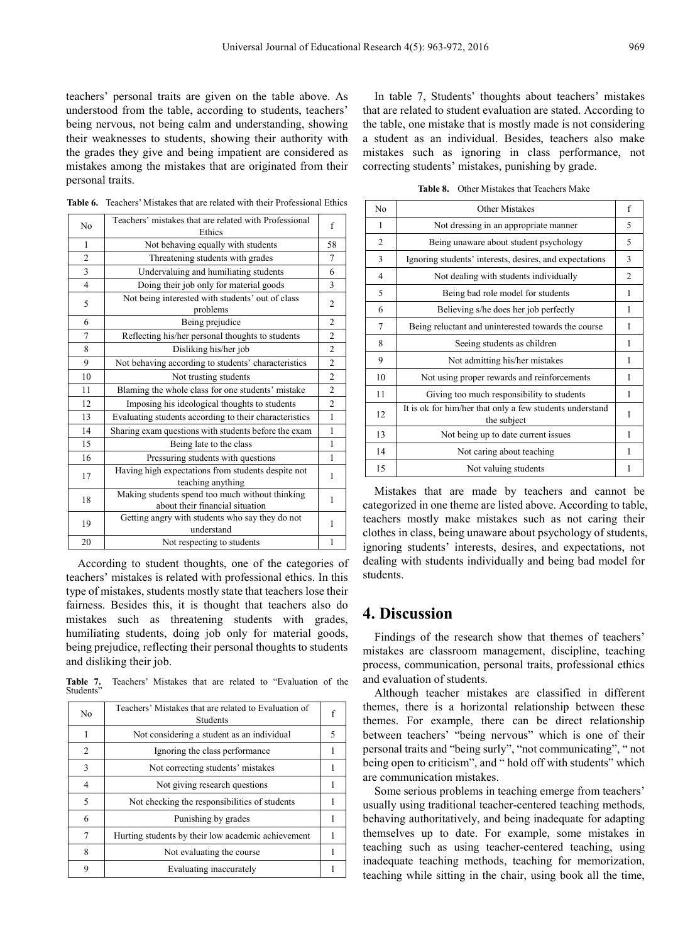teachers' personal traits are given on the table above. As understood from the table, according to students, teachers' being nervous, not being calm and understanding, showing their weaknesses to students, showing their authority with the grades they give and being impatient are considered as mistakes among the mistakes that are originated from their personal traits.

| N <sub>0</sub> | Teachers' mistakes that are related with Professional<br>Ethics                    | f              |
|----------------|------------------------------------------------------------------------------------|----------------|
| 1              | Not behaving equally with students                                                 | 58             |
| $\overline{2}$ | Threatening students with grades                                                   | 7              |
| 3              | Undervaluing and humiliating students                                              | 6              |
| $\overline{4}$ | Doing their job only for material goods                                            | 3              |
| 5              | Not being interested with students' out of class<br>problems                       | $\overline{2}$ |
| 6              | Being prejudice                                                                    | $\overline{2}$ |
| 7              | Reflecting his/her personal thoughts to students                                   | $\overline{c}$ |
| 8              | Disliking his/her job                                                              | $\overline{c}$ |
| 9              | Not behaving according to students' characteristics                                | $\overline{c}$ |
| 10             | Not trusting students                                                              | $\overline{c}$ |
| 11             | Blaming the whole class for one students' mistake                                  | $\overline{c}$ |
| 12             | Imposing his ideological thoughts to students                                      | $\overline{2}$ |
| 13             | Evaluating students according to their characteristics                             | $\mathbf{1}$   |
| 14             | Sharing exam questions with students before the exam                               | 1              |
| 15             | Being late to the class                                                            | 1              |
| 16             | Pressuring students with questions                                                 | 1              |
| 17             | Having high expectations from students despite not<br>teaching anything            | 1              |
| 18             | Making students spend too much without thinking<br>about their financial situation | 1              |
| 19             | Getting angry with students who say they do not<br>understand                      | 1              |
| 20             | Not respecting to students                                                         | 1              |
|                |                                                                                    |                |

**Table 6.** Teachers' Mistakes that are related with their Professional Ethics

According to student thoughts, one of the categories of teachers' mistakes is related with professional ethics. In this type of mistakes, students mostly state that teachers lose their fairness. Besides this, it is thought that teachers also do mistakes such as threatening students with grades, humiliating students, doing job only for material goods, being prejudice, reflecting their personal thoughts to students and disliking their job.

**Table 7.** Teachers' Mistakes that are related to "Evaluation of the **Students** 

| No | Teachers' Mistakes that are related to Evaluation of<br><b>Students</b> |   |
|----|-------------------------------------------------------------------------|---|
| 1  | Not considering a student as an individual                              | 5 |
| 2  | Ignoring the class performance                                          |   |
| 3  | Not correcting students' mistakes                                       |   |
| 4  | Not giving research questions                                           |   |
| 5  | Not checking the responsibilities of students                           |   |
| 6  | Punishing by grades                                                     |   |
| 7  | Hurting students by their low academic achievement                      |   |
| 8  | Not evaluating the course.                                              |   |
|    | Evaluating inaccurately                                                 |   |

In table 7, Students' thoughts about teachers' mistakes that are related to student evaluation are stated. According to the table, one mistake that is mostly made is not considering a student as an individual. Besides, teachers also make mistakes such as ignoring in class performance, not correcting students' mistakes, punishing by grade.

**Table 8.** Other Mistakes that Teachers Make

| No             | Other Mistakes                                                          | f              |
|----------------|-------------------------------------------------------------------------|----------------|
| 1              | Not dressing in an appropriate manner                                   | 5              |
| $\overline{2}$ | Being unaware about student psychology                                  | 5              |
| 3              | Ignoring students' interests, desires, and expectations                 | 3              |
| 4              | Not dealing with students individually                                  | $\mathfrak{D}$ |
| 5              | Being bad role model for students                                       | 1              |
| 6              | Believing s/he does her job perfectly                                   | 1              |
| 7              | Being reluctant and uninterested towards the course                     | 1              |
| 8              | Seeing students as children                                             | 1              |
| 9              | Not admitting his/her mistakes                                          | 1              |
| 10             | Not using proper rewards and reinforcements                             | 1              |
| 11             | Giving too much responsibility to students                              | 1              |
| 12             | It is ok for him/her that only a few students understand<br>the subject | 1              |
| 13             | Not being up to date current issues                                     | 1              |
| 14             | Not caring about teaching                                               | 1              |
| 15             | Not valuing students                                                    | 1              |

Mistakes that are made by teachers and cannot be categorized in one theme are listed above. According to table, teachers mostly make mistakes such as not caring their clothes in class, being unaware about psychology of students, ignoring students' interests, desires, and expectations, not dealing with students individually and being bad model for students.

## **4. Discussion**

Findings of the research show that themes of teachers' mistakes are classroom management, discipline, teaching process, communication, personal traits, professional ethics and evaluation of students.

Although teacher mistakes are classified in different themes, there is a horizontal relationship between these themes. For example, there can be direct relationship between teachers' "being nervous" which is one of their personal traits and "being surly", "not communicating", " not being open to criticism", and " hold off with students" which are communication mistakes.

Some serious problems in teaching emerge from teachers' usually using traditional teacher-centered teaching methods, behaving authoritatively, and being inadequate for adapting themselves up to date. For example, some mistakes in teaching such as using teacher-centered teaching, using inadequate teaching methods, teaching for memorization, teaching while sitting in the chair, using book all the time,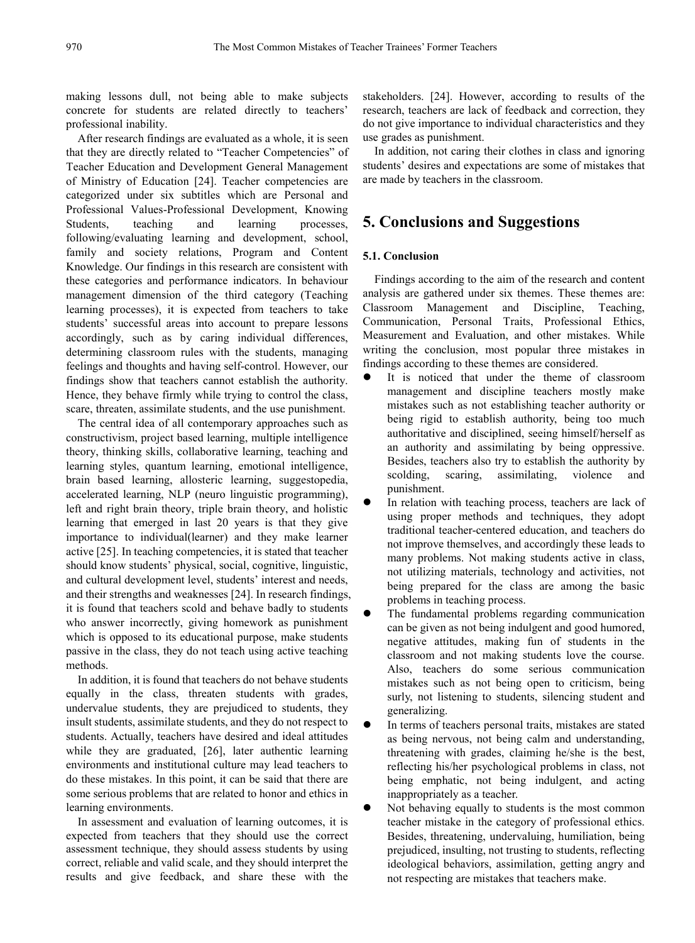making lessons dull, not being able to make subjects concrete for students are related directly to teachers' professional inability.

After research findings are evaluated as a whole, it is seen that they are directly related to "Teacher Competencies" of Teacher Education and Development General Management of Ministry of Education [24]. Teacher competencies are categorized under six subtitles which are Personal and Professional Values-Professional Development, Knowing Students, teaching and learning processes, following/evaluating learning and development, school, family and society relations, Program and Content Knowledge. Our findings in this research are consistent with these categories and performance indicators. In behaviour management dimension of the third category (Teaching learning processes), it is expected from teachers to take students' successful areas into account to prepare lessons accordingly, such as by caring individual differences, determining classroom rules with the students, managing feelings and thoughts and having self-control. However, our findings show that teachers cannot establish the authority. Hence, they behave firmly while trying to control the class, scare, threaten, assimilate students, and the use punishment.

The central idea of all contemporary approaches such as constructivism, project based learning, multiple intelligence theory, thinking skills, collaborative learning, teaching and learning styles, quantum learning, emotional intelligence, brain based learning, allosteric learning, suggestopedia, accelerated learning, NLP (neuro linguistic programming), left and right brain theory, triple brain theory, and holistic learning that emerged in last 20 years is that they give importance to individual(learner) and they make learner active [25]. In teaching competencies, it is stated that teacher should know students' physical, social, cognitive, linguistic, and cultural development level, students' interest and needs, and their strengths and weaknesses [24]. In research findings, it is found that teachers scold and behave badly to students who answer incorrectly, giving homework as punishment which is opposed to its educational purpose, make students passive in the class, they do not teach using active teaching methods.

In addition, it is found that teachers do not behave students equally in the class, threaten students with grades, undervalue students, they are prejudiced to students, they insult students, assimilate students, and they do not respect to students. Actually, teachers have desired and ideal attitudes while they are graduated, [26], later authentic learning environments and institutional culture may lead teachers to do these mistakes. In this point, it can be said that there are some serious problems that are related to honor and ethics in learning environments.

In assessment and evaluation of learning outcomes, it is expected from teachers that they should use the correct assessment technique, they should assess students by using correct, reliable and valid scale, and they should interpret the results and give feedback, and share these with the stakeholders. [24]. However, according to results of the research, teachers are lack of feedback and correction, they do not give importance to individual characteristics and they use grades as punishment.

In addition, not caring their clothes in class and ignoring students' desires and expectations are some of mistakes that are made by teachers in the classroom.

## **5. Conclusions and Suggestions**

## **5.1. Conclusion**

Findings according to the aim of the research and content analysis are gathered under six themes. These themes are: Classroom Management and Discipline, Teaching, Communication, Personal Traits, Professional Ethics, Measurement and Evaluation, and other mistakes. While writing the conclusion, most popular three mistakes in findings according to these themes are considered.

- It is noticed that under the theme of classroom management and discipline teachers mostly make mistakes such as not establishing teacher authority or being rigid to establish authority, being too much authoritative and disciplined, seeing himself/herself as an authority and assimilating by being oppressive. Besides, teachers also try to establish the authority by scolding, scaring, assimilating, violence and punishment.
- In relation with teaching process, teachers are lack of using proper methods and techniques, they adopt traditional teacher-centered education, and teachers do not improve themselves, and accordingly these leads to many problems. Not making students active in class, not utilizing materials, technology and activities, not being prepared for the class are among the basic problems in teaching process.
- The fundamental problems regarding communication can be given as not being indulgent and good humored, negative attitudes, making fun of students in the classroom and not making students love the course. Also, teachers do some serious communication mistakes such as not being open to criticism, being surly, not listening to students, silencing student and generalizing.
- In terms of teachers personal traits, mistakes are stated as being nervous, not being calm and understanding, threatening with grades, claiming he/she is the best, reflecting his/her psychological problems in class, not being emphatic, not being indulgent, and acting inappropriately as a teacher.
- Not behaving equally to students is the most common teacher mistake in the category of professional ethics. Besides, threatening, undervaluing, humiliation, being prejudiced, insulting, not trusting to students, reflecting ideological behaviors, assimilation, getting angry and not respecting are mistakes that teachers make.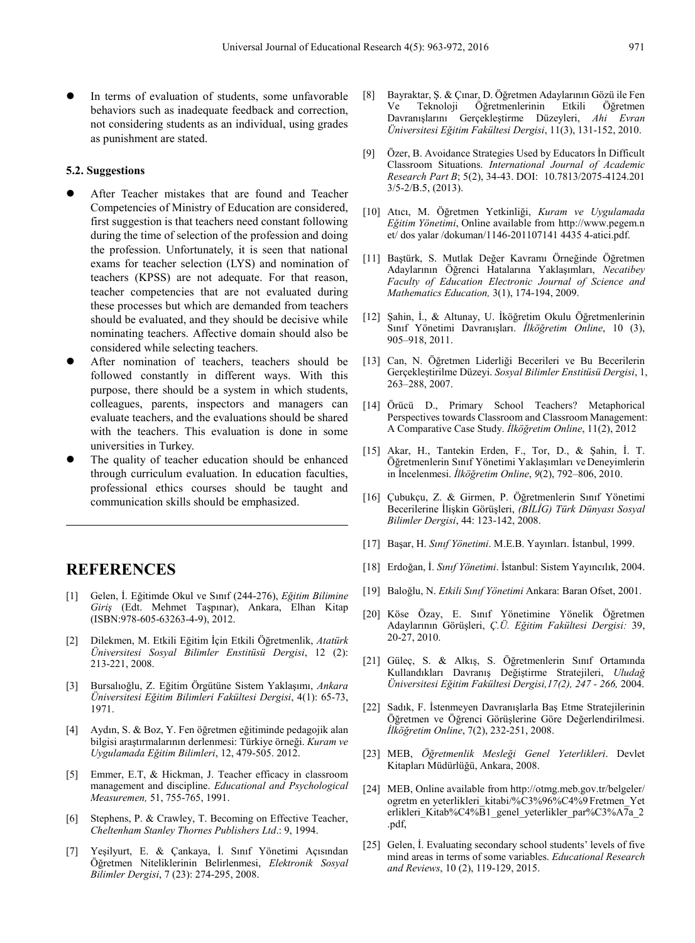In terms of evaluation of students, some unfavorable behaviors such as inadequate feedback and correction, not considering students as an individual, using grades as punishment are stated.

#### **5.2. Suggestions**

- After Teacher mistakes that are found and Teacher Competencies of Ministry of Education are considered, first suggestion is that teachers need constant following during the time of selection of the profession and doing the profession. Unfortunately, it is seen that national exams for teacher selection (LYS) and nomination of teachers (KPSS) are not adequate. For that reason, teacher competencies that are not evaluated during these processes but which are demanded from teachers should be evaluated, and they should be decisive while nominating teachers. Affective domain should also be considered while selecting teachers.
- After nomination of teachers, teachers should be followed constantly in different ways. With this purpose, there should be a system in which students, colleagues, parents, inspectors and managers can evaluate teachers, and the evaluations should be shared with the teachers. This evaluation is done in some universities in Turkey.
- The quality of teacher education should be enhanced through curriculum evaluation. In education faculties, professional ethics courses should be taught and communication skills should be emphasized.

## **REFERENCES**

- [1] Gelen, İ. Eğitimde Okul ve Sınıf (244-276), *Eğitim Bilimine Giriş* (Edt. Mehmet Taşpınar), Ankara, Elhan Kitap (ISBN:978-605-63263-4-9), 2012.
- [2] Dilekmen, M. Etkili Eğitim İçin Etkili Öğretmenlik, *Atatürk Üniversitesi Sosyal Bilimler Enstitüsü Dergisi*, 12 (2): 213-221, 2008.
- [3] Bursalıoğlu, Z. Eğitim Örgütüne Sistem Yaklaşımı, *Ankara Üniversitesi Eğitim Bilimleri Fakültesi Dergisi*, 4(1): 65-73, 1971.
- [4] Aydın, S. & Boz, Y. Fen öğretmen eğitiminde pedagojik alan bilgisi araştırmalarının derlenmesi: Türkiye örneği. *Kuram ve Uygulamada Eğitim Bilimleri*, 12, 479-505. 2012.
- [5] Emmer, E.T, & Hickman, J. Teacher efficacy in classroom management and discipline. *Educational and Psychological Measuremen,* 51, 755-765, 1991.
- [6] Stephens, P. & Crawley, T. Becoming on Effective Teacher, *Cheltenham Stanley Thornes Publishers Ltd*.: 9, 1994.
- [7] Yeşilyurt, E. & Çankaya, İ. Sınıf Yönetimi Açısından Öğretmen Niteliklerinin Belirlenmesi, *Elektronik Sosyal Bilimler Dergisi*, 7 (23): 274-295, 2008.
- [8] Bayraktar, Ş. & Çınar, D. Öğretmen Adaylarının Gözü ile Fen Ve Teknoloji Öğretmenlerinin Etkili Öğretmen Davranışlarını Gerçekleştirme Düzeyleri, *Ahi Evran Üniversitesi Eğitim Fakültesi Dergisi*, 11(3), 131-152, 2010.
- [9] Özer, B. Avoidance Strategies Used by Educators İn Difficult Classroom Situations. *International Journal of Academic Research Part B*; 5(2), 34-43. DOI: 10.7813/2075-4124.201 3/5-2/B.5, (2013).
- [10] Atıcı, M. Öğretmen Yetkinliği, *Kuram ve Uygulamada Eğitim Yönetimi*, Online available from http://www.pegem.n et/ dos yalar /dokuman/1146-201107141 4435 4-atici.pdf.
- [11] Baştürk, S. Mutlak Değer Kavramı Örneğinde Öğretmen Adaylarının Öğrenci Hatalarına Yaklaşımları, *Necatibey Faculty of Education Electronic Journal of Science and Mathematics Education,* 3(1), 174-194, 2009.
- [12] Şahin, İ., & Altunay, U. İköğretim Okulu Öğretmenlerinin Sınıf Yönetimi Davranışları. *İlköğretim Online*, 10 (3), 905–918, 2011.
- [13] Can, N. Öğretmen Liderliği Becerileri ve Bu Becerilerin Gerçekleştirilme Düzeyi. *Sosyal Bilimler Enstitüsü Dergisi*, 1, 263–288, 2007.
- [14] Örücü D., Primary School Teachers? Metaphorical Perspectives towards Classroom and Classroom Management: A Comparative Case Study. *İlköğretim Online*, 11(2), 2012
- [15] Akar, H., Tantekin Erden, F., Tor, D., & Şahin, İ. T. Öğretmenlerin Sınıf Yönetimi Yaklaşımları veDeneyimlerin in İncelenmesi. *İlköğretim Online*, *9*(2), 792–806, 2010.
- [16] Çubukçu, Z. & Girmen, P. Öğretmenlerin Sınıf Yönetimi Becerilerine İlişkin Görüşleri, *(BİLİG) Türk Dünyası Sosyal Bilimler Dergisi*, 44: 123-142, 2008.
- [17] Başar, H. *Sınıf Yönetimi*. M.E.B. Yayınları. İstanbul, 1999.
- [18] Erdoğan, İ. *Sınıf Yönetimi*. İstanbul: Sistem Yayıncılık, 2004.
- [19] Baloğlu, N. *Etkili Sınıf Yönetimi* Ankara: Baran Ofset, 2001.
- [20] Köse Özay, E. Sınıf Yönetimine Yönelik Öğretmen Adaylarının Görüşleri, *Ç.Ü. Eğitim Fakültesi Dergisi:* 39, 20-27, 2010.
- [21] Güleç, S. & Alkış, S. Öğretmenlerin Sınıf Ortamında Kullandıkları Davranış Değiştirme Stratejileri, *Uludağ Üniversitesi Eğitim Fakültesi Dergisi,17(2), 247 - 266,* 2004.
- [22] Sadık, F. İstenmeyen Davranışlarla Baş Etme Stratejilerinin Öğretmen ve Öğrenci Görüşlerine Göre Değerlendirilmesi. *İlköğretim Online*, 7(2), 232-251, 2008.
- [23] MEB, *Öğretmenlik Mesleği Genel Yeterlikleri*. Devlet Kitapları Müdürlüğü, Ankara, 2008.
- [24] MEB, Online available from http://otmg.meb.gov.tr/belgeler/ ogretm en yeterlikleri\_kitabi/%C3%96%C4%9 Fretmen\_Yet erlikleri Kitab%C4%B1\_genel\_yeterlikler\_par%C3%A7a\_2 .pdf,
- [25] Gelen, I. Evaluating secondary school students' levels of five mind areas in terms of some variables. *Educational Research and Reviews*, 10 (2), 119-129, 2015.